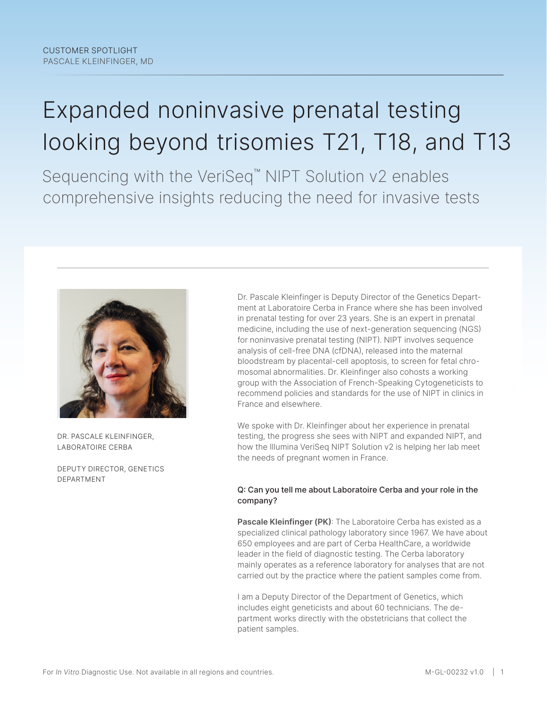# Expanded noninvasive prenatal testing looking beyond trisomies T21, T18, and T13

Sequencing with the VeriSeq™ NIPT Solution v2 enables comprehensive insights reducing the need for invasive tests



DR. PASCALE KLEINFINGER, LABORATOIRE CERBA

DEPUTY DIRECTOR, GENETICS DEPARTMENT

Dr. Pascale Kleinfinger is Deputy Director of the Genetics Department at Laboratoire Cerba in France where she has been involved in prenatal testing for over 23 years. She is an expert in prenatal medicine, including the use of next-generation sequencing (NGS) for noninvasive prenatal testing (NIPT). NIPT involves sequence analysis of cell-free DNA (cfDNA), released into the maternal bloodstream by placental-cell apoptosis, to screen for fetal chromosomal abnormalities. Dr. Kleinfinger also cohosts a working group with the Association of French-Speaking Cytogeneticists to recommend policies and standards for the use of NIPT in clinics in France and elsewhere.

We spoke with Dr. Kleinfinger about her experience in prenatal testing, the progress she sees with NIPT and expanded NIPT, and how the Illumina VeriSeq NIPT Solution v2 is helping her lab meet the needs of pregnant women in France.

#### Q: Can you tell me about Laboratoire Cerba and your role in the company?

**Pascale Kleinfinger (PK)**: The Laboratoire Cerba has existed as a specialized clinical pathology laboratory since 1967. We have about 650 employees and are part of Cerba HealthCare, a worldwide leader in the field of diagnostic testing. The Cerba laboratory mainly operates as a reference laboratory for analyses that are not carried out by the practice where the patient samples come from.

I am a Deputy Director of the Department of Genetics, which includes eight geneticists and about 60 technicians. The department works directly with the obstetricians that collect the patient samples.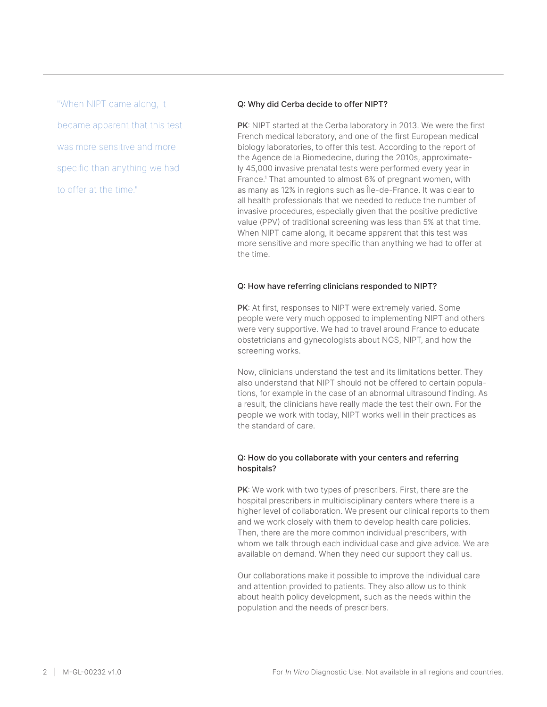"When NIPT came along, it became apparent that this test was more sensitive and more specific than anything we had to offer at the time."

#### Q: Why did Cerba decide to offer NIPT?

**PK**: NIPT started at the Cerba laboratory in 2013. We were the first French medical laboratory, and one of the first European medical biology laboratories, to offer this test. According to the report of the Agence de la Biomedecine, during the 2010s, approximately 45,000 invasive prenatal tests were performed every year in France[.1](#page-5-0) That amounted to almost 6% of pregnant women, with as many as 12% in regions such as Île-de-France. It was clear to all health professionals that we needed to reduce the number of invasive procedures, especially given that the positive predictive value (PPV) of traditional screening was less than 5% at that time. When NIPT came along, it became apparent that this test was more sensitive and more specific than anything we had to offer at the time.

#### Q: How have referring clinicians responded to NIPT?

**PK**: At first, responses to NIPT were extremely varied. Some people were very much opposed to implementing NIPT and others were very supportive. We had to travel around France to educate obstetricians and gynecologists about NGS, NIPT, and how the screening works.

Now, clinicians understand the test and its limitations better. They also understand that NIPT should not be offered to certain populations, for example in the case of an abnormal ultrasound finding. As a result, the clinicians have really made the test their own. For the people we work with today, NIPT works well in their practices as the standard of care.

#### Q: How do you collaborate with your centers and referring hospitals?

**PK**: We work with two types of prescribers. First, there are the hospital prescribers in multidisciplinary centers where there is a higher level of collaboration. We present our clinical reports to them and we work closely with them to develop health care policies. Then, there are the more common individual prescribers, with whom we talk through each individual case and give advice. We are available on demand. When they need our support they call us.

Our collaborations make it possible to improve the individual care and attention provided to patients. They also allow us to think about health policy development, such as the needs within the population and the needs of prescribers.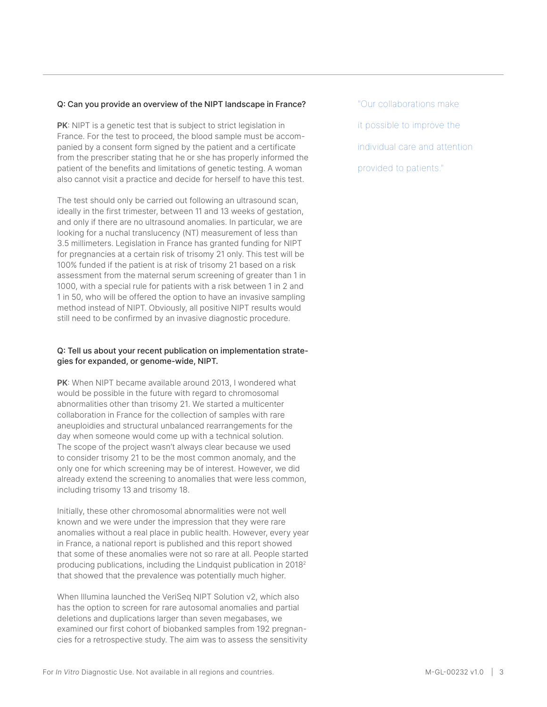#### Q: Can you provide an overview of the NIPT landscape in France?

**PK**: NIPT is a genetic test that is subject to strict legislation in France. For the test to proceed, the blood sample must be accompanied by a consent form signed by the patient and a certificate from the prescriber stating that he or she has properly informed the patient of the benefits and limitations of genetic testing. A woman also cannot visit a practice and decide for herself to have this test.

The test should only be carried out following an ultrasound scan, ideally in the first trimester, between 11 and 13 weeks of gestation, and only if there are no ultrasound anomalies. In particular, we are looking for a nuchal translucency (NT) measurement of less than 3.5 millimeters. Legislation in France has granted funding for NIPT for pregnancies at a certain risk of trisomy 21 only. This test will be 100% funded if the patient is at risk of trisomy 21 based on a risk assessment from the maternal serum screening of greater than 1 in 1000, with a special rule for patients with a risk between 1 in 2 and 1 in 50, who will be offered the option to have an invasive sampling method instead of NIPT. Obviously, all positive NIPT results would still need to be confirmed by an invasive diagnostic procedure.

#### Q: Tell us about your recent publication on implementation strategies for expanded, or genome-wide, NIPT.

**PK**: When NIPT became available around 2013, I wondered what would be possible in the future with regard to chromosomal abnormalities other than trisomy 21. We started a multicenter collaboration in France for the collection of samples with rare aneuploidies and structural unbalanced rearrangements for the day when someone would come up with a technical solution. The scope of the project wasn't always clear because we used to consider trisomy 21 to be the most common anomaly, and the only one for which screening may be of interest. However, we did already extend the screening to anomalies that were less common, including trisomy 13 and trisomy 18.

Initially, these other chromosomal abnormalities were not well known and we were under the impression that they were rare anomalies without a real place in public health. However, every year in France, a national report is published and this report showed that some of these anomalies were not so rare at all. People started producing publications, including the Lindquist publication in 201[82](#page-5-1) that showed that the prevalence was potentially much higher.

When Illumina launched the VeriSeq NIPT Solution v2, which also has the option to screen for rare autosomal anomalies and partial deletions and duplications larger than seven megabases, we examined our first cohort of biobanked samples from 192 pregnancies for a retrospective study. The aim was to assess the sensitivity "Our collaborations make it possible to improve the individual care and attention provided to patients."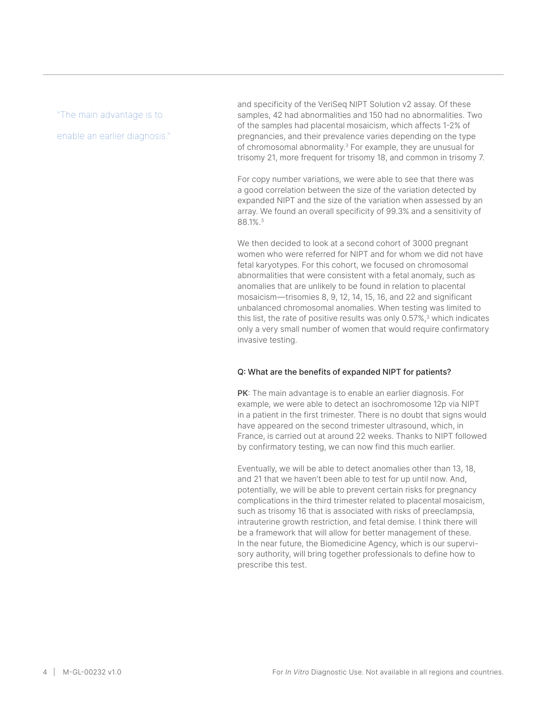#### "The main advantage is to

enable an earlier diagnosis."

and specificity of the VeriSeq NIPT Solution v2 assay. Of these samples, 42 had abnormalities and 150 had no abnormalities. Two of the samples had placental mosaicism, which affects 1-2% of pregnancies, and their prevalence varies depending on the type of chromosomal abnormality.[3](#page-5-2) For example, they are unusual for trisomy 21, more frequent for trisomy 18, and common in trisomy 7.

For copy number variations, we were able to see that there was a good correlation between the size of the variation detected by expanded NIPT and the size of the variation when assessed by an array. We found an overall specificity of 99.3% and a sensitivity of 88.1%[.3](#page-5-2)

We then decided to look at a second cohort of 3000 pregnant women who were referred for NIPT and for whom we did not have fetal karyotypes. For this cohort, we focused on chromosomal abnormalities that were consistent with a fetal anomaly, such as anomalies that are unlikely to be found in relation to placental mosaicism—trisomies 8, 9, 12, 14, 15, 16, and 22 and significant unbalanced chromosomal anomalies. When testing was limited to this list, the rate of positive results was only 0.57%,<sup>3</sup> which indicates only a very small number of women that would require confirmatory invasive testing.

#### Q: What are the benefits of expanded NIPT for patients?

**PK**: The main advantage is to enable an earlier diagnosis. For example, we were able to detect an isochromosome 12p via NIPT in a patient in the first trimester. There is no doubt that signs would have appeared on the second trimester ultrasound, which, in France, is carried out at around 22 weeks. Thanks to NIPT followed by confirmatory testing, we can now find this much earlier.

Eventually, we will be able to detect anomalies other than 13, 18, and 21 that we haven't been able to test for up until now. And, potentially, we will be able to prevent certain risks for pregnancy complications in the third trimester related to placental mosaicism, such as trisomy 16 that is associated with risks of preeclampsia, intrauterine growth restriction, and fetal demise. I think there will be a framework that will allow for better management of these. In the near future, the Biomedicine Agency, which is our supervisory authority, will bring together professionals to define how to prescribe this test.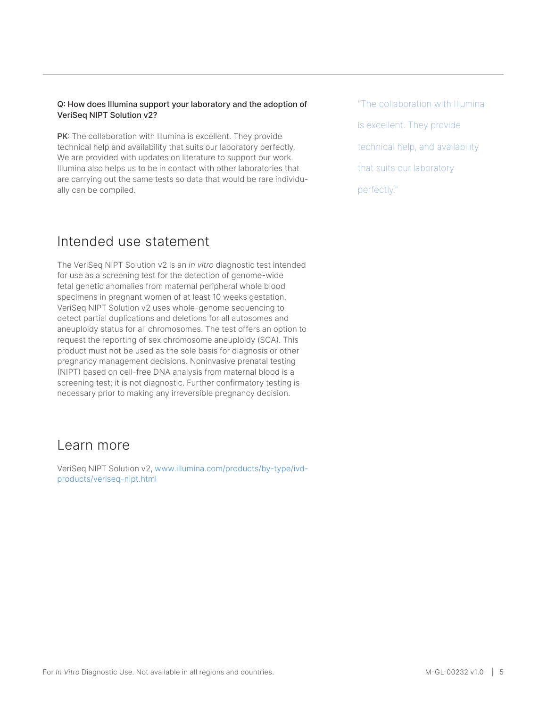#### Q: How does Illumina support your laboratory and the adoption of VeriSeq NIPT Solution v2?

**PK**: The collaboration with Illumina is excellent. They provide technical help and availability that suits our laboratory perfectly. We are provided with updates on literature to support our work. Illumina also helps us to be in contact with other laboratories that are carrying out the same tests so data that would be rare individually can be compiled.

## Intended use statement

The VeriSeq NIPT Solution v2 is an *in vitro* diagnostic test intended for use as a screening test for the detection of genome-wide fetal genetic anomalies from maternal peripheral whole blood specimens in pregnant women of at least 10 weeks gestation. VeriSeq NIPT Solution v2 uses whole-genome sequencing to detect partial duplications and deletions for all autosomes and aneuploidy status for all chromosomes. The test offers an option to request the reporting of sex chromosome aneuploidy (SCA). This product must not be used as the sole basis for diagnosis or other pregnancy management decisions. Noninvasive prenatal testing (NIPT) based on cell-free DNA analysis from maternal blood is a screening test; it is not diagnostic. Further confirmatory testing is necessary prior to making any irreversible pregnancy decision.

### Learn more

VeriSeq NIPT Solution v2, www.illumina.com/products/by-type/ivdproducts/veriseq-nipt.html

"The collaboration with Illumina is excellent. They provide technical help, and availability that suits our laboratory perfectly."